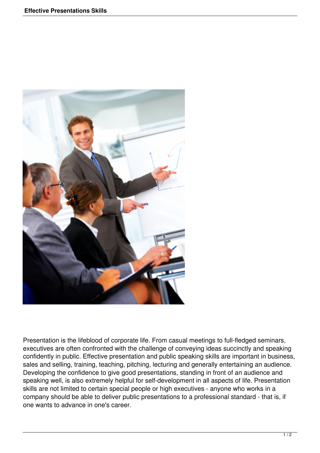

Presentation is the lifeblood of corporate life. From casual meetings to full-fledged seminars, executives are often confronted with the challenge of conveying ideas succinctly and speaking confidently in public. Effective presentation and public speaking skills are important in business, sales and selling, training, teaching, pitching, lecturing and generally entertaining an audience. Developing the confidence to give good presentations, standing in front of an audience and speaking well, is also extremely helpful for self-development in all aspects of life. Presentation skills are not limited to certain special people or high executives - anyone who works in a company should be able to deliver public presentations to a professional standard - that is, if one wants to advance in one's career.